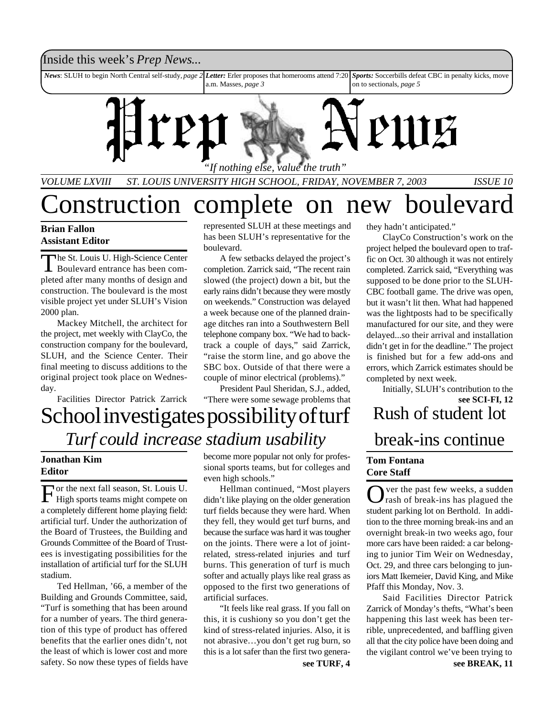#### Inside this week's *Prep News*...

*News*: SLUH to begin North Central self-study, *page 2 Letter:* Erler proposes that homerooms attend 7:20 a.m. Masses, *page 3 Sports:* Soccerbills defeat CBC in penalty kicks, move on to sectionals, *page 5*



*VOLUME LXVIII ST. LOUIS UNIVERSITY HIGH SCHOOL, FRIDAY, NOVEMBER 7, 2003 ISSUE 10*

### Construction complete on new boulevard

#### **Brian Fallon Assistant Editor**

The St. Louis U. High-Science Center<br>Boulevard entrance has been comhe St. Louis U. High-Science Center pleted after many months of design and construction. The boulevard is the most visible project yet under SLUH's Vision 2000 plan.

Mackey Mitchell, the architect for the project, met weekly with ClayCo, the construction company for the boulevard, SLUH, and the Science Center. Their final meeting to discuss additions to the original project took place on Wednesday.

Facilities Director Patrick Zarrick

represented SLUH at these meetings and has been SLUH's representative for the boulevard.

A few setbacks delayed the project's completion. Zarrick said, "The recent rain slowed (the project) down a bit, but the early rains didn't because they were mostly on weekends." Construction was delayed a week because one of the planned drainage ditches ran into a Southwestern Bell telephone company box. "We had to backtrack a couple of days," said Zarrick, "raise the storm line, and go above the SBC box. Outside of that there were a couple of minor electrical (problems)."

President Paul Sheridan, S.J., added, "There were some sewage problems that

### School investigates possibility of turf *Turf could increase stadium usability*

#### **Jonathan Kim Editor**

For the next fall season, St. Louis U.<br>High sports teams might compete on or the next fall season, St. Louis U. a completely different home playing field: artificial turf. Under the authorization of the Board of Trustees, the Building and Grounds Committee of the Board of Trustees is investigating possibilities for the installation of artificial turf for the SLUH stadium.

Ted Hellman, '66, a member of the Building and Grounds Committee, said, "Turf is something that has been around for a number of years. The third generation of this type of product has offered benefits that the earlier ones didn't, not the least of which is lower cost and more safety. So now these types of fields have become more popular not only for professional sports teams, but for colleges and even high schools."

Hellman continued, "Most players didn't like playing on the older generation turf fields because they were hard. When they fell, they would get turf burns, and because the surface was hard it was tougher on the joints. There were a lot of jointrelated, stress-related injuries and turf burns. This generation of turf is much softer and actually plays like real grass as opposed to the first two generations of artificial surfaces.

"It feels like real grass. If you fall on this, it is cushiony so you don't get the kind of stress-related injuries. Also, it is not abrasive…you don't get rug burn, so this is a lot safer than the first two generathey hadn't anticipated."

ClayCo Construction's work on the project helped the boulevard open to traffic on Oct. 30 although it was not entirely completed. Zarrick said, "Everything was supposed to be done prior to the SLUH-CBC football game. The drive was open, but it wasn't lit then. What had happened was the lightposts had to be specifically manufactured for our site, and they were delayed...so their arrival and installation didn't get in for the deadline." The project is finished but for a few add-ons and errors, which Zarrick estimates should be completed by next week.

Rush of student lot break-ins continue **see SCI-FI, 12** Initially, SLUH's contribution to the

#### **Tom Fontana Core Staff**

Over the past few weeks, a sudden<br>
Orash of break-ins has plagued the ver the past few weeks, a sudden student parking lot on Berthold. In addition to the three morning break-ins and an overnight break-in two weeks ago, four more cars have been raided: a car belonging to junior Tim Weir on Wednesday, Oct. 29, and three cars belonging to juniors Matt Ikemeier, David King, and Mike Pfaff this Monday, Nov. 3.

**see TURF, 4 see BREAK, 11** Said Facilities Director Patrick Zarrick of Monday's thefts, "What's been happening this last week has been terrible, unprecedented, and baffling given all that the city police have been doing and the vigilant control we've been trying to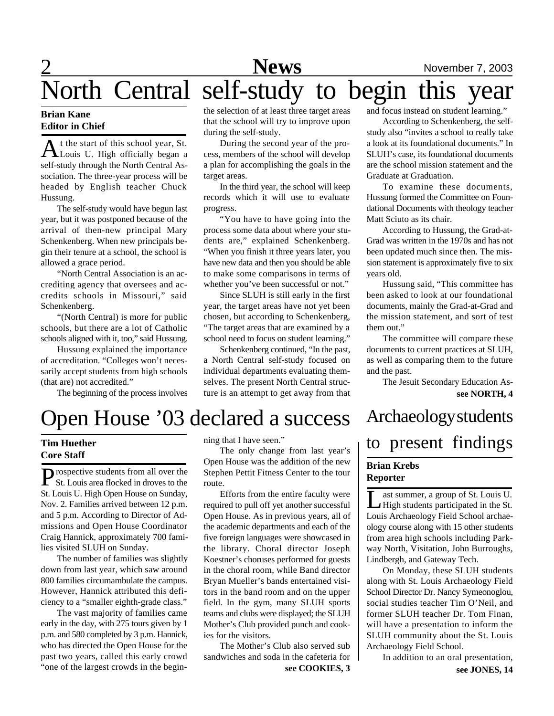## 2 **News** November 7, 2003 North Central self-study to begin this year

#### **Brian Kane Editor in Chief**

At the start of this school year, St.<br>Louis U. High officially began a t the start of this school year, St. self-study through the North Central Association. The three-year process will be headed by English teacher Chuck Hussung.

The self-study would have begun last year, but it was postponed because of the arrival of then-new principal Mary Schenkenberg. When new principals begin their tenure at a school, the school is allowed a grace period.

"North Central Association is an accrediting agency that oversees and accredits schools in Missouri," said Schenkenberg.

"(North Central) is more for public schools, but there are a lot of Catholic schools aligned with it, too," said Hussung.

Hussung explained the importance of accreditation. "Colleges won't necessarily accept students from high schools (that are) not accredited."

The beginning of the process involves

the selection of at least three target areas that the school will try to improve upon during the self-study.

During the second year of the process, members of the school will develop a plan for accomplishing the goals in the target areas.

In the third year, the school will keep records which it will use to evaluate progress.

"You have to have going into the process some data about where your students are," explained Schenkenberg. "When you finish it three years later, you have new data and then you should be able to make some comparisons in terms of whether you've been successful or not."

Since SLUH is still early in the first year, the target areas have not yet been chosen, but according to Schenkenberg, "The target areas that are examined by a school need to focus on student learning."

Schenkenberg continued, "In the past, a North Central self-study focused on individual departments evaluating themselves. The present North Central structure is an attempt to get away from that and focus instead on student learning."

According to Schenkenberg, the selfstudy also "invites a school to really take a look at its foundational documents." In SLUH's case, its foundational documents are the school mission statement and the Graduate at Graduation.

To examine these documents, Hussung formed the Committee on Foundational Documents with theology teacher Matt Sciuto as its chair.

According to Hussung, the Grad-at-Grad was written in the 1970s and has not been updated much since then. The mission statement is approximately five to six years old.

Hussung said, "This committee has been asked to look at our foundational documents, mainly the Grad-at-Grad and the mission statement, and sort of test them out."

The committee will compare these documents to current practices at SLUH, as well as comparing them to the future and the past.

**see NORTH, 4** The Jesuit Secondary Education As-

### Open House '03 declared a success

#### **Tim Huether Core Staff**

**P** rospective students from all over the St. Louis area flocked in droves to the St. Louis area flocked in droves to the St. Louis U. High Open House on Sunday, Nov. 2. Families arrived between 12 p.m. and 5 p.m. According to Director of Admissions and Open House Coordinator Craig Hannick, approximately 700 families visited SLUH on Sunday.

The number of families was slightly down from last year, which saw around 800 families circumambulate the campus. However, Hannick attributed this deficiency to a "smaller eighth-grade class."

The vast majority of families came early in the day, with 275 tours given by 1 p.m. and 580 completed by 3 p.m. Hannick, who has directed the Open House for the past two years, called this early crowd "one of the largest crowds in the beginning that I have seen."

The only change from last year's Open House was the addition of the new Stephen Pettit Fitness Center to the tour route.

Efforts from the entire faculty were required to pull off yet another successful Open House. As in previous years, all of the academic departments and each of the five foreign languages were showcased in the library. Choral director Joseph Koestner's choruses performed for guests in the choral room, while Band director Bryan Mueller's bands entertained visitors in the band room and on the upper field. In the gym, many SLUH sports teams and clubs were displayed; the SLUH Mother's Club provided punch and cookies for the visitors.

The Mother's Club also served sub sandwiches and soda in the cafeteria for

### Archaeology students to present findings

#### **Brian Krebs Reporter**

Let a group of St. Louis U.<br>High students participated in the St.<br>Louis Archaeology Field School archaeast summer, a group of St. Louis U. High students participated in the St. ology course along with 15 other students from area high schools including Parkway North, Visitation, John Burroughs, Lindbergh, and Gateway Tech.

On Monday, these SLUH students along with St. Louis Archaeology Field School Director Dr. Nancy Symeonoglou, social studies teacher Tim O'Neil, and former SLUH teacher Dr. Tom Finan, will have a presentation to inform the SLUH community about the St. Louis Archaeology Field School.

**see COOKIES, 3 see JONES, 14** In addition to an oral presentation,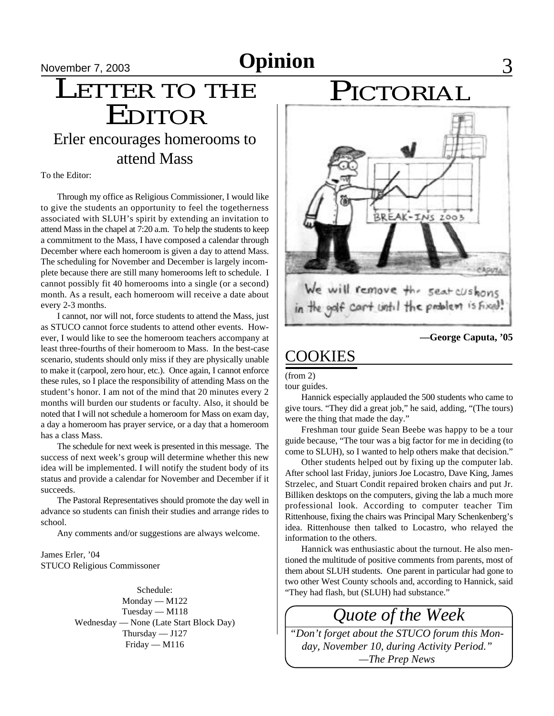November 7, 2003 **Opinion** 3

### $\frac{\frac{N \text{ovember } 7, 2003}{N \text{covember } 7}}{ \text{LETTER TO THE}}$ EDITOR Erler encourages homerooms to attend Mass

To the Editor:

Through my office as Religious Commissioner, I would like to give the students an opportunity to feel the togetherness associated with SLUH's spirit by extending an invitation to attend Mass in the chapel at 7:20 a.m. To help the students to keep a commitment to the Mass, I have composed a calendar through December where each homeroom is given a day to attend Mass. The scheduling for November and December is largely incomplete because there are still many homerooms left to schedule. I cannot possibly fit 40 homerooms into a single (or a second) month. As a result, each homeroom will receive a date about every 2-3 months.

I cannot, nor will not, force students to attend the Mass, just as STUCO cannot force students to attend other events. However, I would like to see the homeroom teachers accompany at least three-fourths of their homeroom to Mass. In the best-case scenario, students should only miss if they are physically unable to make it (carpool, zero hour, etc.). Once again, I cannot enforce these rules, so I place the responsibility of attending Mass on the student's honor. I am not of the mind that 20 minutes every 2 months will burden our students or faculty. Also, it should be noted that I will not schedule a homeroom for Mass on exam day, a day a homeroom has prayer service, or a day that a homeroom has a class Mass.

The schedule for next week is presented in this message. The success of next week's group will determine whether this new idea will be implemented. I will notify the student body of its status and provide a calendar for November and December if it succeeds.

The Pastoral Representatives should promote the day well in advance so students can finish their studies and arrange rides to school.

Any comments and/or suggestions are always welcome.

James Erler, '04 STUCO Religious Commissoner

> Monday — M122 Tuesday — M118 Wednesday — None (Late Start Block Day) Thursday — J127 Friday — M116

### PICTORIAL



#### **—George Caputa, '05**

### COOKIES

(from 2)

tour guides.

Hannick especially applauded the 500 students who came to give tours. "They did a great job," he said, adding, "(The tours) were the thing that made the day."

Freshman tour guide Sean Beebe was happy to be a tour guide because, "The tour was a big factor for me in deciding (to come to SLUH), so I wanted to help others make that decision."

Other students helped out by fixing up the computer lab. After school last Friday, juniors Joe Locastro, Dave King, James Strzelec, and Stuart Condit repaired broken chairs and put Jr. Billiken desktops on the computers, giving the lab a much more professional look. According to computer teacher Tim Rittenhouse, fixing the chairs was Principal Mary Schenkenberg's idea. Rittenhouse then talked to Locastro, who relayed the information to the others.

Hannick was enthusiastic about the turnout. He also mentioned the multitude of positive comments from parents, most of them about SLUH students. One parent in particular had gone to two other West County schools and, according to Hannick, said Schedule: "They had flash, but (SLUH) had substance."

*Quote of the Week*

*"Don't forget about the STUCO forum this Monday, November 10, during Activity Period." —The Prep News*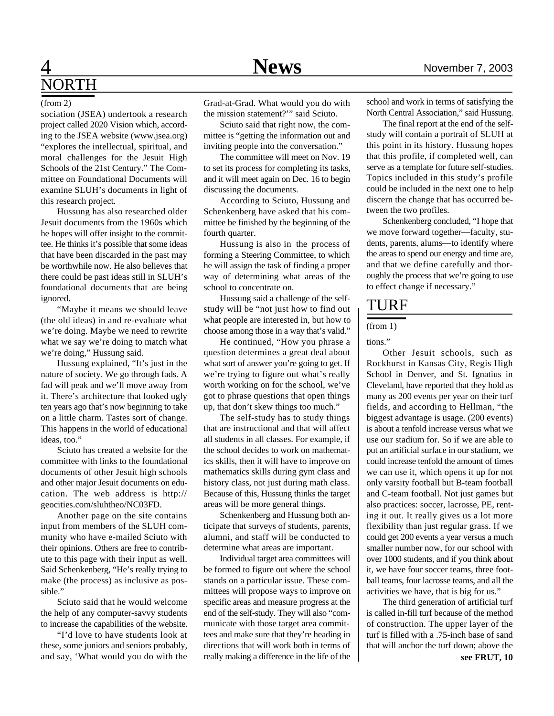### 4 **News** November 7, 2003 NORTH

#### (from 2)

sociation (JSEA) undertook a research project called 2020 Vision which, according to the JSEA website (www.jsea.org) "explores the intellectual, spiritual, and moral challenges for the Jesuit High Schools of the 21st Century." The Committee on Foundational Documents will examine SLUH's documents in light of this research project.

Hussung has also researched older Jesuit documents from the 1960s which he hopes will offer insight to the committee. He thinks it's possible that some ideas that have been discarded in the past may be worthwhile now. He also believes that there could be past ideas still in SLUH's foundational documents that are being ignored.

"Maybe it means we should leave (the old ideas) in and re-evaluate what we're doing. Maybe we need to rewrite what we say we're doing to match what we're doing," Hussung said.

Hussung explained, "It's just in the nature of society. We go through fads. A fad will peak and we'll move away from it. There's architecture that looked ugly ten years ago that's now beginning to take on a little charm. Tastes sort of change. This happens in the world of educational ideas, too."

Sciuto has created a website for the committee with links to the foundational documents of other Jesuit high schools and other major Jesuit documents on education. The web address is http:// geocities.com/sluhtheo/NC03FD.

Another page on the site contains input from members of the SLUH community who have e-mailed Sciuto with their opinions. Others are free to contribute to this page with their input as well. Said Schenkenberg, "He's really trying to make (the process) as inclusive as possible."

Sciuto said that he would welcome the help of any computer-savvy students to increase the capabilities of the website.

"I'd love to have students look at these, some juniors and seniors probably, and say, 'What would you do with the Grad-at-Grad. What would you do with the mission statement?'" said Sciuto.

Sciuto said that right now, the committee is "getting the information out and inviting people into the conversation."

The committee will meet on Nov. 19 to set its process for completing its tasks, and it will meet again on Dec. 16 to begin discussing the documents.

According to Sciuto, Hussung and Schenkenberg have asked that his committee be finished by the beginning of the fourth quarter.

Hussung is also in the process of forming a Steering Committee, to which he will assign the task of finding a proper way of determining what areas of the school to concentrate on.

Hussung said a challenge of the selfstudy will be "not just how to find out what people are interested in, but how to choose among those in a way that's valid."

He continued, "How you phrase a question determines a great deal about what sort of answer you're going to get. If we're trying to figure out what's really worth working on for the school, we've got to phrase questions that open things up, that don't skew things too much."

The self-study has to study things that are instructional and that will affect all students in all classes. For example, if the school decides to work on mathematics skills, then it will have to improve on mathematics skills during gym class and history class, not just during math class. Because of this, Hussung thinks the target areas will be more general things.

Schenkenberg and Hussung both anticipate that surveys of students, parents, alumni, and staff will be conducted to determine what areas are important.

Individual target area committees will be formed to figure out where the school stands on a particular issue. These committees will propose ways to improve on specific areas and measure progress at the end of the self-study. They will also "communicate with those target area committees and make sure that they're heading in directions that will work both in terms of really making a difference in the life of the

school and work in terms of satisfying the North Central Association," said Hussung.

The final report at the end of the selfstudy will contain a portrait of SLUH at this point in its history. Hussung hopes that this profile, if completed well, can serve as a template for future self-studies. Topics included in this study's profile could be included in the next one to help discern the change that has occurred between the two profiles.

Schenkenberg concluded, "I hope that we move forward together—faculty, students, parents, alums—to identify where the areas to spend our energy and time are, and that we define carefully and thoroughly the process that we're going to use to effect change if necessary."

#### TURF

#### (from 1)

tions."

Other Jesuit schools, such as Rockhurst in Kansas City, Regis High School in Denver, and St. Ignatius in Cleveland, have reported that they hold as many as 200 events per year on their turf fields, and according to Hellman, "the biggest advantage is usage. (200 events) is about a tenfold increase versus what we use our stadium for. So if we are able to put an artificial surface in our stadium, we could increase tenfold the amount of times we can use it, which opens it up for not only varsity football but B-team football and C-team football. Not just games but also practices: soccer, lacrosse, PE, renting it out. It really gives us a lot more flexibility than just regular grass. If we could get 200 events a year versus a much smaller number now, for our school with over 1000 students, and if you think about it, we have four soccer teams, three football teams, four lacrosse teams, and all the activities we have, that is big for us."

**see FRUT, 10** The third generation of artificial turf is called in-fill turf because of the method of construction. The upper layer of the turf is filled with a .75-inch base of sand that will anchor the turf down; above the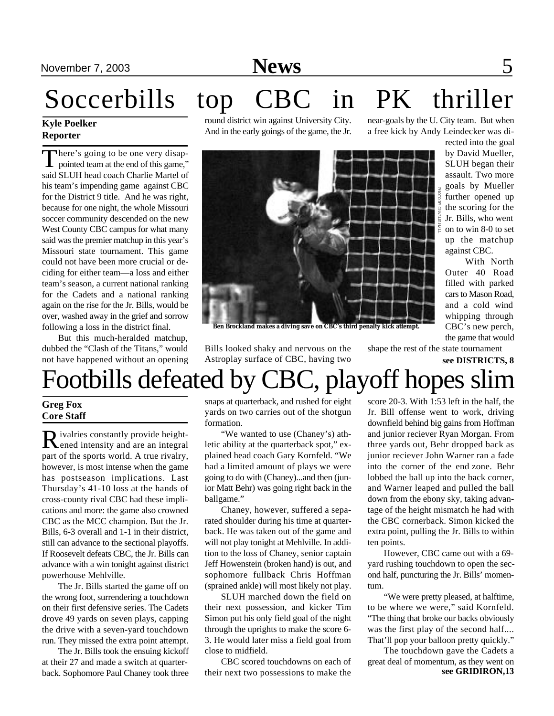### November 7, 2003 **News** 5

# Soccerbills top CBC in PK thriller

#### **Kyle Poelker Reporter**

There's going to be one very disappointed team at the end of this game," There's going to be one very disapsaid SLUH head coach Charlie Martel of his team's impending game against CBC for the District 9 title. And he was right, because for one night, the whole Missouri soccer community descended on the new West County CBC campus for what many said was the premier matchup in this year's Missouri state tournament. This game could not have been more crucial or deciding for either team—a loss and either team's season, a current national ranking for the Cadets and a national ranking again on the rise for the Jr. Bills, would be over, washed away in the grief and sorrow following a loss in the district final.

But this much-heralded matchup, dubbed the "Clash of the Titans," would not have happened without an opening round district win against University City. And in the early goings of the game, the Jr.

near-goals by the U. City team. But when a free kick by Andy Leindecker was di-

rected into the goal

With North



**Ben Brockland makes a diving save on CBC's third penalty kick attempt.**

Bills looked shaky and nervous on the Astroplay surface of CBC, having two shape the rest of the state tournament

the game that would

## Footbills defeated by CBC, playoff hopes slim

#### **Greg Fox Core Staff**

Rivalries constantly provide height-<br>Rened intensity and are an integral ened intensity and are an integral part of the sports world. A true rivalry, however, is most intense when the game has postseason implications. Last Thursday's 41-10 loss at the hands of cross-county rival CBC had these implications and more: the game also crowned CBC as the MCC champion. But the Jr. Bills, 6-3 overall and 1-1 in their district, still can advance to the sectional playoffs. If Roosevelt defeats CBC, the Jr. Bills can advance with a win tonight against district powerhouse Mehlville.

The Jr. Bills started the game off on the wrong foot, surrendering a touchdown on their first defensive series. The Cadets drove 49 yards on seven plays, capping the drive with a seven-yard touchdown run. They missed the extra point attempt.

The Jr. Bills took the ensuing kickoff at their 27 and made a switch at quarterback. Sophomore Paul Chaney took three

snaps at quarterback, and rushed for eight yards on two carries out of the shotgun formation.

"We wanted to use (Chaney's) athletic ability at the quarterback spot," explained head coach Gary Kornfeld. "We had a limited amount of plays we were going to do with (Chaney)...and then (junior Matt Behr) was going right back in the ballgame."

Chaney, however, suffered a separated shoulder during his time at quarterback. He was taken out of the game and will not play tonight at Mehlville. In addition to the loss of Chaney, senior captain Jeff Howenstein (broken hand) is out, and sophomore fullback Chris Hoffman (sprained ankle) will most likely not play.

SLUH marched down the field on their next possession, and kicker Tim Simon put his only field goal of the night through the uprights to make the score 6- 3. He would later miss a field goal from close to midfield.

CBC scored touchdowns on each of their next two possessions to make the score 20-3. With 1:53 left in the half, the Jr. Bill offense went to work, driving downfield behind big gains from Hoffman and junior reciever Ryan Morgan. From three yards out, Behr dropped back as junior reciever John Warner ran a fade into the corner of the end zone. Behr lobbed the ball up into the back corner, and Warner leaped and pulled the ball down from the ebony sky, taking advantage of the height mismatch he had with the CBC cornerback. Simon kicked the extra point, pulling the Jr. Bills to within ten points.

However, CBC came out with a 69 yard rushing touchdown to open the second half, puncturing the Jr. Bills' momentum.

"We were pretty pleased, at halftime, to be where we were," said Kornfeld. "The thing that broke our backs obviously was the first play of the second half.... That'll pop your balloon pretty quickly."

**see GRIDIRON,13** The touchdown gave the Cadets a great deal of momentum, as they went on

**see DISTRICTS, 8**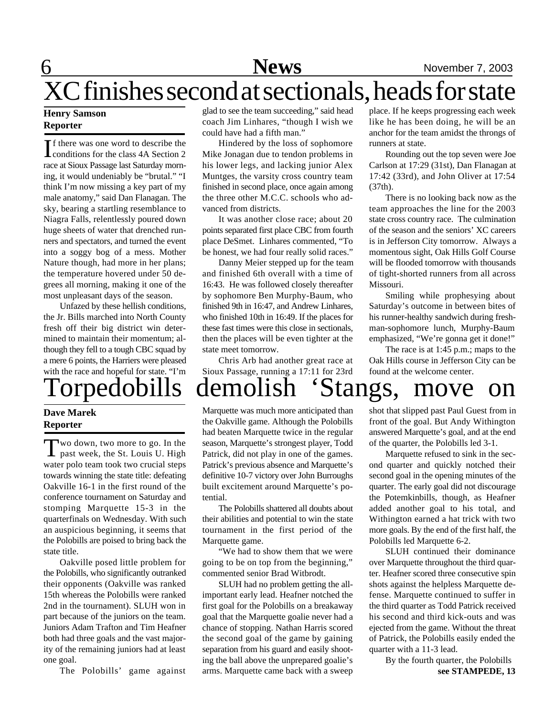**6** News News November 7, 2003

## XC finishes second at sectionals, heads for state

#### **Henry Samson Reporter**

If there was one word to describe the<br>conditions for the class 4A Section 2 f there was one word to describe the race at Sioux Passage last Saturday morning, it would undeniably be "brutal." "I think I'm now missing a key part of my male anatomy," said Dan Flanagan. The sky, bearing a startling resemblance to Niagra Falls, relentlessly poured down huge sheets of water that drenched runners and spectators, and turned the event into a soggy bog of a mess. Mother Nature though, had more in her plans; the temperature hovered under 50 degrees all morning, making it one of the most unpleasant days of the season.

Unfazed by these hellish conditions, the Jr. Bills marched into North County fresh off their big district win determined to maintain their momentum; although they fell to a tough CBC squad by a mere 6 points, the Harriers were pleased with the race and hopeful for state. "I'm

#### **Dave Marek Reporter**

Two down, two more to go. In the<br>past week, the St. Louis U. High wo down, two more to go. In the water polo team took two crucial steps towards winning the state title: defeating Oakville 16-1 in the first round of the conference tournament on Saturday and stomping Marquette 15-3 in the quarterfinals on Wednesday. With such an auspicious beginning, it seems that the Polobills are poised to bring back the state title.

Oakville posed little problem for the Polobills, who significantly outranked their opponents (Oakville was ranked 15th whereas the Polobills were ranked 2nd in the tournament). SLUH won in part because of the juniors on the team. Juniors Adam Trafton and Tim Heafner both had three goals and the vast majority of the remaining juniors had at least one goal.

The Polobills' game against

glad to see the team succeeding," said head coach Jim Linhares, "though I wish we could have had a fifth man."

Hindered by the loss of sophomore Mike Jonagan due to tendon problems in his lower legs, and lacking junior Alex Muntges, the varsity cross country team finished in second place, once again among the three other M.C.C. schools who advanced from districts.

It was another close race; about 20 points separated first place CBC from fourth place DeSmet. Linhares commented, "To be honest, we had four really solid races."

Danny Meier stepped up for the team and finished 6th overall with a time of 16:43. He was followed closely thereafter by sophomore Ben Murphy-Baum, who finished 9th in 16:47, and Andrew Linhares, who finished 10th in 16:49. If the places for these fast times were this close in sectionals, then the places will be even tighter at the state meet tomorrow.

Chris Arb had another great race at Sioux Passage, running a 17:11 for 23rd place. If he keeps progressing each week like he has been doing, he will be an anchor for the team amidst the throngs of runners at state.

Rounding out the top seven were Joe Carlson at 17:29 (31st), Dan Flanagan at 17:42 (33rd), and John Oliver at 17:54 (37th).

There is no looking back now as the team approaches the line for the 2003 state cross country race. The culmination of the season and the seniors' XC careers is in Jefferson City tomorrow. Always a momentous sight, Oak Hills Golf Course will be flooded tomorrow with thousands of tight-shorted runners from all across Missouri.

Smiling while prophesying about Saturday's outcome in between bites of his runner-healthy sandwich during freshman-sophomore lunch, Murphy-Baum emphasized, "We're gonna get it done!"

The race is at 1:45 p.m.; maps to the Oak Hills course in Jefferson City can be found at the welcome center.

# Torpedobills demolish 'Stangs, move on

Marquette was much more anticipated than the Oakville game. Although the Polobills had beaten Marquette twice in the regular season, Marquette's strongest player, Todd Patrick, did not play in one of the games. Patrick's previous absence and Marquette's definitive 10-7 victory over John Burroughs built excitement around Marquette's potential.

The Polobills shattered all doubts about their abilities and potential to win the state tournament in the first period of the Marquette game.

"We had to show them that we were going to be on top from the beginning," commented senior Brad Witbrodt.

SLUH had no problem getting the allimportant early lead. Heafner notched the first goal for the Polobills on a breakaway goal that the Marquette goalie never had a chance of stopping. Nathan Harris scored the second goal of the game by gaining separation from his guard and easily shooting the ball above the unprepared goalie's arms. Marquette came back with a sweep shot that slipped past Paul Guest from in front of the goal. But Andy Withington answered Marquette's goal, and at the end of the quarter, the Polobills led 3-1.

Marquette refused to sink in the second quarter and quickly notched their second goal in the opening minutes of the quarter. The early goal did not discourage the Potemkinbills, though, as Heafner added another goal to his total, and Withington earned a hat trick with two more goals. By the end of the first half, the Polobills led Marquette 6-2.

SLUH continued their dominance over Marquette throughout the third quarter. Heafner scored three consecutive spin shots against the helpless Marquette defense. Marquette continued to suffer in the third quarter as Todd Patrick received his second and third kick-outs and was ejected from the game. Without the threat of Patrick, the Polobills easily ended the quarter with a 11-3 lead.

**see STAMPEDE, 13** By the fourth quarter, the Polobills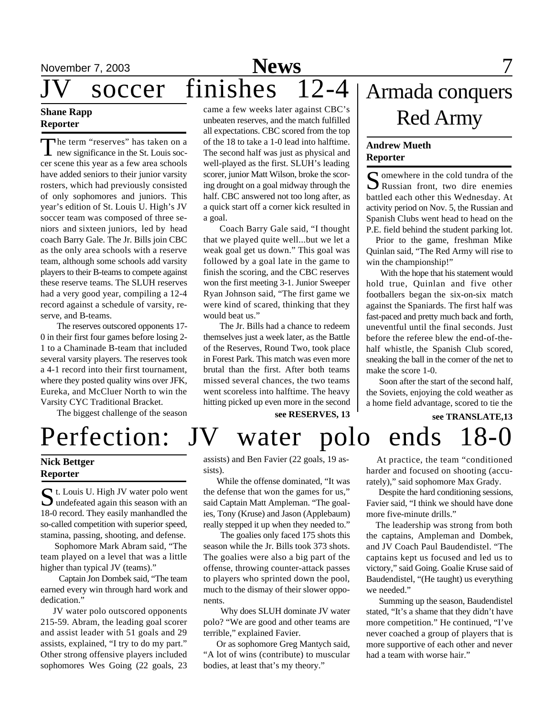#### **Shane Rapp Reporter**

The term "reserves" has taken on a<br>new significance in the St. Louis socnew significance in the St. Louis soccer scene this year as a few area schools have added seniors to their junior varsity rosters, which had previously consisted of only sophomores and juniors. This year's edition of St. Louis U. High's JV soccer team was composed of three seniors and sixteen juniors, led by head coach Barry Gale. The Jr. Bills join CBC as the only area schools with a reserve team, although some schools add varsity players to their B-teams to compete against these reserve teams. The SLUH reserves had a very good year, compiling a 12-4 record against a schedule of varsity, reserve, and B-teams.

The reserves outscored opponents 17- 0 in their first four games before losing 2- 1 to a Chaminade B-team that included several varsity players. The reserves took a 4-1 record into their first tournament, where they posted quality wins over JFK, Eureka, and McCluer North to win the Varsity CYC Traditional Bracket.

The biggest challenge of the season

came a few weeks later against CBC's unbeaten reserves, and the match fulfilled all expectations. CBC scored from the top of the 18 to take a 1-0 lead into halftime. The second half was just as physical and well-played as the first. SLUH's leading scorer, junior Matt Wilson, broke the scoring drought on a goal midway through the half. CBC answered not too long after, as a quick start off a corner kick resulted in a goal.

Coach Barry Gale said, "I thought that we played quite well...but we let a weak goal get us down." This goal was followed by a goal late in the game to finish the scoring, and the CBC reserves won the first meeting 3-1. Junior Sweeper Ryan Johnson said, "The first game we were kind of scared, thinking that they would beat us."

The Jr. Bills had a chance to redeem themselves just a week later, as the Battle of the Reserves, Round Two, took place in Forest Park. This match was even more brutal than the first. After both teams missed several chances, the two teams went scoreless into halftime. The heavy hitting picked up even more in the second

**see RESERVES, 13**

### Armada conquers Red Army

#### **Andrew Mueth Reporter**

Somewhere in the cold tundra of the<br>Russian front, two dire enemies Russian front, two dire enemies battled each other this Wednesday. At activity period on Nov. 5, the Russian and Spanish Clubs went head to head on the P.E. field behind the student parking lot.

Prior to the game, freshman Mike Quinlan said, "The Red Army will rise to win the championship!"

 With the hope that his statement would hold true, Quinlan and five other footballers began the six-on-six match against the Spaniards. The first half was fast-paced and pretty much back and forth, uneventful until the final seconds. Just before the referee blew the end-of-thehalf whistle, the Spanish Club scored, sneaking the ball in the corner of the net to make the score 1-0.

 Soon after the start of the second half, the Soviets, enjoying the cold weather as a home field advantage, scored to tie the

**see TRANSLATE,13**

**Nick Bettger Reporter**

St. Louis U. High JV water polo went<br>
sum defeated again this season with an undefeated again this season with an 18-0 record. They easily manhandled the so-called competition with superior speed, stamina, passing, shooting, and defense.

 Sophomore Mark Abram said, "The team played on a level that was a little higher than typical JV (teams)."

 Captain Jon Dombek said, "The team earned every win through hard work and dedication."

 JV water polo outscored opponents 215-59. Abram, the leading goal scorer and assist leader with 51 goals and 29 assists, explained, "I try to do my part." Other strong offensive players included sophomores Wes Going (22 goals, 23

assists) and Ben Favier (22 goals, 19 assists).

Perfection: JV water polo ends 18-0

 While the offense dominated, "It was the defense that won the games for us," said Captain Matt Ampleman. "The goalies, Tony (Kruse) and Jason (Applebaum) really stepped it up when they needed to."

 The goalies only faced 175 shots this season while the Jr. Bills took 373 shots. The goalies were also a big part of the offense, throwing counter-attack passes to players who sprinted down the pool, much to the dismay of their slower opponents.

 Why does SLUH dominate JV water polo? "We are good and other teams are terrible," explained Favier.

 Or as sophomore Greg Mantych said, "A lot of wins (contribute) to muscular bodies, at least that's my theory."

 At practice, the team "conditioned harder and focused on shooting (accurately)," said sophomore Max Grady.

 Despite the hard conditioning sessions, Favier said, "I think we should have done more five-minute drills."

 The leadership was strong from both the captains, Ampleman and Dombek, and JV Coach Paul Baudendistel. "The captains kept us focused and led us to victory," said Going. Goalie Kruse said of Baudendistel, "(He taught) us everything we needed."

 Summing up the season, Baudendistel stated, "It's a shame that they didn't have more competition." He continued, "I've never coached a group of players that is more supportive of each other and never had a team with worse hair."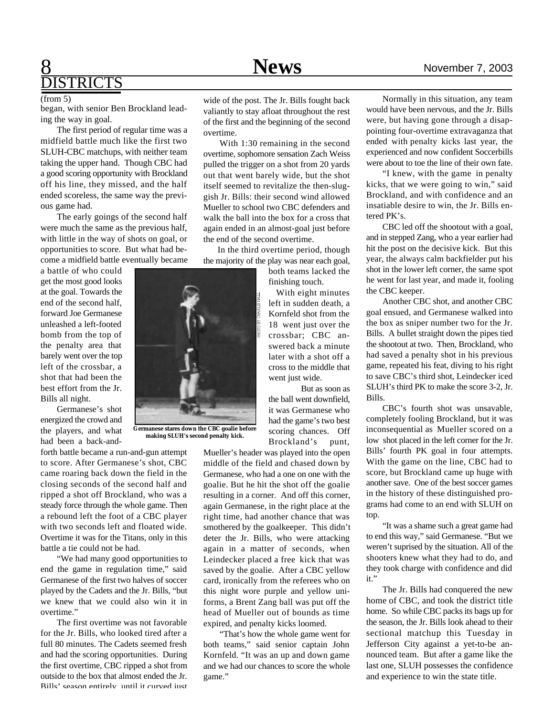### 8 **News** November 7, 2003 **ISTRICTS**

#### (from 5)

began, with senior Ben Brockland leading the way in goal.

The first period of regular time was a midfield battle much like the first two SLUH-CBC matchups, with neither team taking the upper hand. Though CBC had a good scoring opportunity with Brockland off his line, they missed, and the half ended scoreless, the same way the previous game had.

The early goings of the second half were much the same as the previous half, with little in the way of shots on goal, or opportunities to score. But what had become a midfield battle eventually became

a battle of who could get the most good looks at the goal. Towards the end of the second half, forward Joe Germanese unleashed a left-footed bomb from the top of the penalty area that barely went over the top left of the crossbar, a shot that had been the best effort from the Jr. Bills all night.

Germanese's shot energized the crowd and the players, and what had been a back-and-

forth battle became a run-and-gun attempt to score. After Germanese's shot, CBC came roaring back down the field in the closing seconds of the second half and ripped a shot off Brockland, who was a steady force through the whole game. Then a rebound left the foot of a CBC player with two seconds left and floated wide. Overtime it was for the Titans, only in this battle a tie could not be had.

"We had many good opportunities to end the game in regulation time," said Germanese of the first two halves of soccer played by the Cadets and the Jr. Bills, "but we knew that we could also win it in overtime."

The first overtime was not favorable for the Jr. Bills, who looked tired after a full 80 minutes. The Cadets seemed fresh and had the scoring opportunities. During the first overtime, CBC ripped a shot from outside to the box that almost ended the Jr. Bills' season entirely, until it curved just

wide of the post. The Jr. Bills fought back valiantly to stay afloat throughout the rest of the first and the beginning of the second overtime.

With 1:30 remaining in the second overtime, sophomore sensation Zach Weiss pulled the trigger on a shot from 20 yards out that went barely wide, but the shot itself seemed to revitalize the then-sluggish Jr. Bills: their second wind allowed Mueller to school two CBC defenders and walk the ball into the box for a cross that again ended in an almost-goal just before the end of the second overtime.

 In the third overtime period, though the majority of the play was near each goal,

both teams lacked the finishing touch.

 With eight minutes left in sudden death, a Kornfeld shot from the 18 went just over the crossbar; CBC answered back a minute later with a shot off a cross to the middle that went just wide.

But as soon as the ball went downfield, it was Germanese who had the game's two best scoring chances. Off Brockland's punt,

Mueller's header was played into the open middle of the field and chased down by Germanese, who had a one on one with the goalie. But he hit the shot off the goalie resulting in a corner. And off this corner, again Germanese, in the right place at the right time, had another chance that was smothered by the goalkeeper. This didn't deter the Jr. Bills, who were attacking again in a matter of seconds, when Leindecker placed a free kick that was saved by the goalie. After a CBC yellow card, ironically from the referees who on this night wore purple and yellow uniforms, a Brent Zang ball was put off the head of Mueller out of bounds as time expired, and penalty kicks loomed.

"That's how the whole game went for both teams," said senior captain John Kornfeld. "It was an up and down game and we had our chances to score the whole game."

Normally in this situation, any team would have been nervous, and the Jr. Bills were, but having gone through a disappointing four-overtime extravaganza that ended with penalty kicks last year, the experienced and now confident Soccerbills were about to toe the line of their own fate.

"I knew, with the game in penalty kicks, that we were going to win," said Brockland, and with confidence and an insatiable desire to win, the Jr. Bills entered PK's.

CBC led off the shootout with a goal, and in stepped Zang, who a year earlier had hit the post on the decisive kick. But this year, the always calm backfielder put his shot in the lower left corner, the same spot he went for last year, and made it, fooling the CBC keeper.

Another CBC shot, and another CBC goal ensued, and Germanese walked into the box as sniper number two for the Jr. Bills. A bullet straight down the pipes tied the shootout at two. Then, Brockland, who had saved a penalty shot in his previous game, repeated his feat, diving to his right to save CBC's third shot, Leindecker iced SLUH's third PK to make the score 3-2, Jr. Bills.

CBC's fourth shot was unsavable, completely fooling Brockland, but it was inconsequential as Mueller scored on a low shot placed in the left corner for the Jr. Bills' fourth PK goal in four attempts. With the game on the line, CBC had to score, but Brockland came up huge with another save. One of the best soccer games in the history of these distinguished programs had come to an end with SLUH on top.

"It was a shame such a great game had to end this way," said Germanese. "But we weren't suprised by the situation. All of the shooters knew what they had to do, and they took charge with confidence and did it."

The Jr. Bills had conquered the new home of CBC, and took the district title home. So while CBC packs its bags up for the season, the Jr. Bills look ahead to their sectional matchup this Tuesday in Jefferson City against a yet-to-be announced team. But after a game like the last one, SLUH possesses the confidence and experience to win the state title.

### **Germanese stares down the CBC goalie before making SLUH's second penalty kick.**

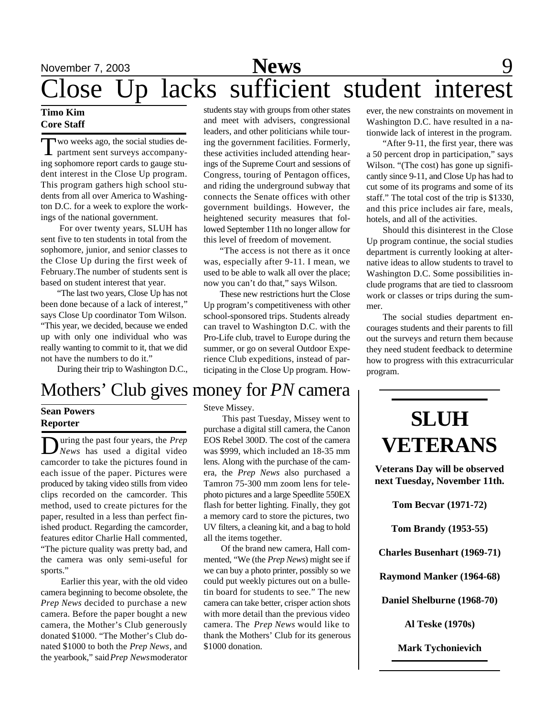### November 7, 2003 **News** 9 Close Up lacks sufficient student interest

#### **Timo Kim Core Staff**

Two weeks ago, the social studies de-<br>partment sent surveys accompany-<br>ing sophomore report cards to gauge stuwo weeks ago, the social studies department sent surveys accompanydent interest in the Close Up program. This program gathers high school students from all over America to Washington D.C. for a week to explore the workings of the national government.

 For over twenty years, SLUH has sent five to ten students in total from the sophomore, junior, and senior classes to the Close Up during the first week of February.The number of students sent is based on student interest that year.

"The last two years, Close Up has not been done because of a lack of interest," says Close Up coordinator Tom Wilson. "This year, we decided, because we ended up with only one individual who was really wanting to commit to it, that we did not have the numbers to do it."

During their trip to Washington D.C.,

### Mothers' Club gives money for *PN* camera

#### **Sean Powers Reporter**

During the past four years, the *Prep*<br>*News* has used a digital video uring the past four years, the *Prep* camcorder to take the pictures found in each issue of the paper. Pictures were produced by taking video stills from video clips recorded on the camcorder. This method, used to create pictures for the paper, resulted in a less than perfect finished product. Regarding the camcorder, features editor Charlie Hall commented, "The picture quality was pretty bad, and the camera was only semi-useful for sports."

 Earlier this year, with the old video camera beginning to become obsolete, the *Prep News* decided to purchase a new camera. Before the paper bought a new camera, the Mother's Club generously donated \$1000. "The Mother's Club donated \$1000 to both the *Prep News*, and the yearbook," said *Prep News* moderator

students stay with groups from other states and meet with advisers, congressional leaders, and other politicians while touring the government facilities. Formerly, these activities included attending hearings of the Supreme Court and sessions of Congress, touring of Pentagon offices, and riding the underground subway that connects the Senate offices with other government buildings. However, the heightened security measures that followed September 11th no longer allow for this level of freedom of movement.

"The access is not there as it once was, especially after 9-11. I mean, we used to be able to walk all over the place; now you can't do that," says Wilson.

These new restrictions hurt the Close Up program's competitiveness with other school-sponsored trips. Students already can travel to Washington D.C. with the Pro-Life club, travel to Europe during the summer, or go on several Outdoor Experience Club expeditions, instead of participating in the Close Up program. How-

ever, the new constraints on movement in Washington D.C. have resulted in a nationwide lack of interest in the program.

"After 9-11, the first year, there was a 50 percent drop in participation," says Wilson. "(The cost) has gone up significantly since 9-11, and Close Up has had to cut some of its programs and some of its staff." The total cost of the trip is \$1330, and this price includes air fare, meals, hotels, and all of the activities.

Should this disinterest in the Close Up program continue, the social studies department is currently looking at alternative ideas to allow students to travel to Washington D.C. Some possibilities include programs that are tied to classroom work or classes or trips during the summer.

The social studies department encourages students and their parents to fill out the surveys and return them because they need student feedback to determine how to progress with this extracurricular program.

### Steve Missey.

This past Tuesday, Missey went to

purchase a digital still camera, the Canon EOS Rebel 300D. The cost of the camera was \$999, which included an 18-35 mm lens. Along with the purchase of the camera, the *Prep News* also purchased a Tamron 75-300 mm zoom lens for telephoto pictures and a large Speedlite 550EX flash for better lighting. Finally, they got a memory card to store the pictures, two UV filters, a cleaning kit, and a bag to hold all the items together.

 Of the brand new camera, Hall commented, "We (the *Prep News*) might see if we can buy a photo printer, possibly so we could put weekly pictures out on a bulletin board for students to see." The new camera can take better, crisper action shots with more detail than the previous video camera. The *Prep News* would like to thank the Mothers' Club for its generous \$1000 donation.

### **SLUH VETERANS**

**Veterans Day will be observed next Tuesday, November 11th.**

**Tom Becvar (1971-72)**

**Tom Brandy (1953-55)**

**Charles Busenhart (1969-71)**

**Raymond Manker (1964-68)**

**Daniel Shelburne (1968-70)**

**Al Teske (1970s)**

**Mark Tychonievich**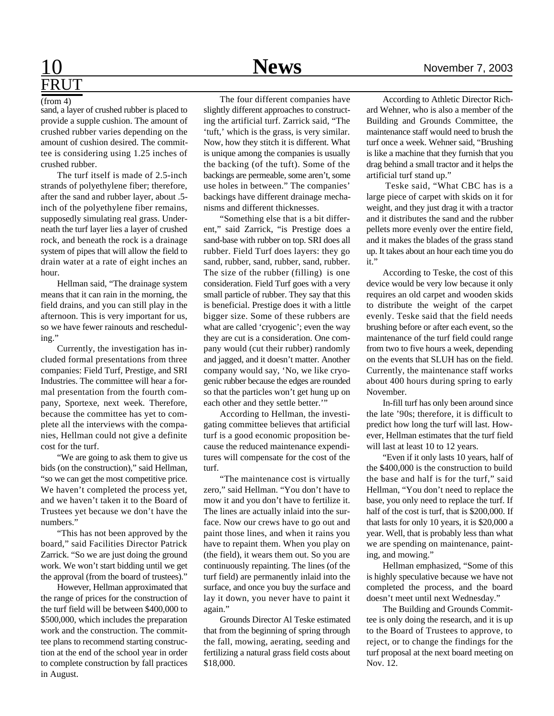# FRUT

#### (from 4)

sand, a layer of crushed rubber is placed to provide a supple cushion. The amount of crushed rubber varies depending on the amount of cushion desired. The committee is considering using 1.25 inches of crushed rubber.

The turf itself is made of 2.5-inch strands of polyethylene fiber; therefore, after the sand and rubber layer, about .5 inch of the polyethylene fiber remains, supposedly simulating real grass. Underneath the turf layer lies a layer of crushed rock, and beneath the rock is a drainage system of pipes that will allow the field to drain water at a rate of eight inches an hour.

Hellman said, "The drainage system means that it can rain in the morning, the field drains, and you can still play in the afternoon. This is very important for us, so we have fewer rainouts and rescheduling."

Currently, the investigation has included formal presentations from three companies: Field Turf, Prestige, and SRI Industries. The committee will hear a formal presentation from the fourth company, Sportexe, next week. Therefore, because the committee has yet to complete all the interviews with the companies, Hellman could not give a definite cost for the turf.

"We are going to ask them to give us bids (on the construction)," said Hellman, "so we can get the most competitive price. We haven't completed the process yet, and we haven't taken it to the Board of Trustees yet because we don't have the numbers."

"This has not been approved by the board," said Facilities Director Patrick Zarrick. "So we are just doing the ground work. We won't start bidding until we get the approval (from the board of trustees)."

However, Hellman approximated that the range of prices for the construction of the turf field will be between \$400,000 to \$500,000, which includes the preparation work and the construction. The committee plans to recommend starting construction at the end of the school year in order to complete construction by fall practices in August.

### 10 **News** November 7, 2003

The four different companies have slightly different approaches to constructing the artificial turf. Zarrick said, "The 'tuft,' which is the grass, is very similar. Now, how they stitch it is different. What is unique among the companies is usually the backing (of the tuft). Some of the backings are permeable, some aren't, some use holes in between." The companies' backings have different drainage mechanisms and different thicknesses.

"Something else that is a bit different," said Zarrick, "is Prestige does a sand-base with rubber on top. SRI does all rubber. Field Turf does layers: they go sand, rubber, sand, rubber, sand, rubber. The size of the rubber (filling) is one consideration. Field Turf goes with a very small particle of rubber. They say that this is beneficial. Prestige does it with a little bigger size. Some of these rubbers are what are called 'cryogenic'; even the way they are cut is a consideration. One company would (cut their rubber) randomly and jagged, and it doesn't matter. Another company would say, 'No, we like cryogenic rubber because the edges are rounded so that the particles won't get hung up on each other and they settle better.""

According to Hellman, the investigating committee believes that artificial turf is a good economic proposition because the reduced maintenance expenditures will compensate for the cost of the turf.

"The maintenance cost is virtually zero," said Hellman. "You don't have to mow it and you don't have to fertilize it. The lines are actually inlaid into the surface. Now our crews have to go out and paint those lines, and when it rains you have to repaint them. When you play on (the field), it wears them out. So you are continuously repainting. The lines (of the turf field) are permanently inlaid into the surface, and once you buy the surface and lay it down, you never have to paint it again."

Grounds Director Al Teske estimated that from the beginning of spring through the fall, mowing, aerating, seeding and fertilizing a natural grass field costs about \$18,000.

According to Athletic Director Richard Wehner, who is also a member of the Building and Grounds Committee, the maintenance staff would need to brush the turf once a week. Wehner said, "Brushing is like a machine that they furnish that you drag behind a small tractor and it helps the artificial turf stand up."

 Teske said, "What CBC has is a large piece of carpet with skids on it for weight, and they just drag it with a tractor and it distributes the sand and the rubber pellets more evenly over the entire field, and it makes the blades of the grass stand up. It takes about an hour each time you do it."

According to Teske, the cost of this device would be very low because it only requires an old carpet and wooden skids to distribute the weight of the carpet evenly. Teske said that the field needs brushing before or after each event, so the maintenance of the turf field could range from two to five hours a week, depending on the events that SLUH has on the field. Currently, the maintenance staff works about 400 hours during spring to early November.

In-fill turf has only been around since the late '90s; therefore, it is difficult to predict how long the turf will last. However, Hellman estimates that the turf field will last at least 10 to 12 years.

"Even if it only lasts 10 years, half of the \$400,000 is the construction to build the base and half is for the turf," said Hellman, "You don't need to replace the base, you only need to replace the turf. If half of the cost is turf, that is \$200,000. If that lasts for only 10 years, it is \$20,000 a year. Well, that is probably less than what we are spending on maintenance, painting, and mowing."

Hellman emphasized, "Some of this is highly speculative because we have not completed the process, and the board doesn't meet until next Wednesday."

The Building and Grounds Committee is only doing the research, and it is up to the Board of Trustees to approve, to reject, or to change the findings for the turf proposal at the next board meeting on Nov. 12.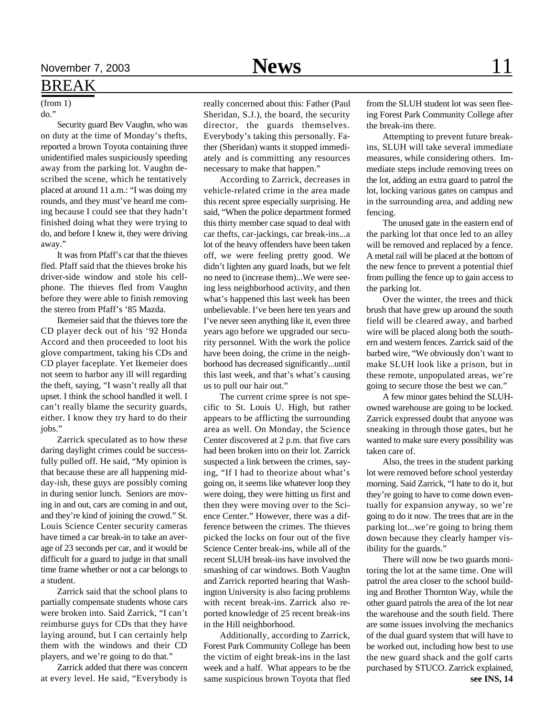#### BREAK

(from 1) do."

Security guard Bev Vaughn, who was on duty at the time of Monday's thefts, reported a brown Toyota containing three unidentified males suspiciously speeding away from the parking lot. Vaughn described the scene, which he tentatively placed at around 11 a.m.: "I was doing my rounds, and they must've heard me coming because I could see that they hadn't finished doing what they were trying to do, and before I knew it, they were driving away."

It was from Pfaff's car that the thieves fled. Pfaff said that the thieves broke his driver-side window and stole his cellphone. The thieves fled from Vaughn before they were able to finish removing the stereo from Pfaff's '85 Mazda.

Ikemeier said that the thieves tore the CD player deck out of his '92 Honda Accord and then proceeded to loot his glove compartment, taking his CDs and CD player faceplate. Yet Ikemeier does not seem to harbor any ill will regarding the theft, saying, "I wasn't really all that upset. I think the school handled it well. I can't really blame the security guards, either. I know they try hard to do their jobs."

Zarrick speculated as to how these daring daylight crimes could be successfully pulled off. He said, "My opinion is that because these are all happening midday-ish, these guys are possibly coming in during senior lunch. Seniors are moving in and out, cars are coming in and out, and they're kind of joining the crowd." St. Louis Science Center security cameras have timed a car break-in to take an average of 23 seconds per car, and it would be difficult for a guard to judge in that small time frame whether or not a car belongs to a student.

Zarrick said that the school plans to partially compensate students whose cars were broken into. Said Zarrick, "I can't reimburse guys for CDs that they have laying around, but I can certainly help them with the windows and their CD players, and we're going to do that."

Zarrick added that there was concern at every level. He said, "Everybody is really concerned about this: Father (Paul Sheridan, S.J.), the board, the security director, the guards themselves. Everybody's taking this personally. Father (Sheridan) wants it stopped immediately and is committing any resources necessary to make that happen."

According to Zarrick, decreases in vehicle-related crime in the area made this recent spree especially surprising. He said, "When the police department formed this thirty member case squad to deal with car thefts, car-jackings, car break-ins...a lot of the heavy offenders have been taken off, we were feeling pretty good. We didn't lighten any guard loads, but we felt no need to (increase them)...We were seeing less neighborhood activity, and then what's happened this last week has been unbelievable. I've been here ten years and I've never seen anything like it, even three years ago before we upgraded our security personnel. With the work the police have been doing, the crime in the neighborhood has decreased significantly...until this last week, and that's what's causing us to pull our hair out."

The current crime spree is not specific to St. Louis U. High, but rather appears to be afflicting the surrounding area as well. On Monday, the Science Center discovered at 2 p.m. that five cars had been broken into on their lot. Zarrick suspected a link between the crimes, saying, "If I had to theorize about what's going on, it seems like whatever loop they were doing, they were hitting us first and then they were moving over to the Science Center." However, there was a difference between the crimes. The thieves picked the locks on four out of the five Science Center break-ins, while all of the recent SLUH break-ins have involved the smashing of car windows. Both Vaughn and Zarrick reported hearing that Washington University is also facing problems with recent break-ins. Zarrick also reported knowledge of 25 recent break-ins in the Hill neighborhood.

Additionally, according to Zarrick, Forest Park Community College has been the victim of eight break-ins in the last week and a half. What appears to be the same suspicious brown Toyota that fled

from the SLUH student lot was seen fleeing Forest Park Community College after the break-ins there.

Attempting to prevent future breakins, SLUH will take several immediate measures, while considering others. Immediate steps include removing trees on the lot, adding an extra guard to patrol the lot, locking various gates on campus and in the surrounding area, and adding new fencing.

The unused gate in the eastern end of the parking lot that once led to an alley will be removed and replaced by a fence. A metal rail will be placed at the bottom of the new fence to prevent a potential thief from pulling the fence up to gain access to the parking lot.

Over the winter, the trees and thick brush that have grew up around the south field will be cleared away, and barbed wire will be placed along both the southern and western fences. Zarrick said of the barbed wire, "We obviously don't want to make SLUH look like a prison, but in these remote, unpopulated areas, we're going to secure those the best we can."

A few minor gates behind the SLUHowned warehouse are going to be locked. Zarrick expressed doubt that anyone was sneaking in through those gates, but he wanted to make sure every possibility was taken care of.

Also, the trees in the student parking lot were removed before school yesterday morning. Said Zarrick, "I hate to do it, but they're going to have to come down eventually for expansion anyway, so we're going to do it now. The trees that are in the parking lot...we're going to bring them down because they clearly hamper visibility for the guards."

**see INS, 14** There will now be two guards monitoring the lot at the same time. One will patrol the area closer to the school building and Brother Thornton Way, while the other guard patrols the area of the lot near the warehouse and the south field. There are some issues involving the mechanics of the dual guard system that will have to be worked out, including how best to use the new guard shack and the golf carts purchased by STUCO. Zarrick explained,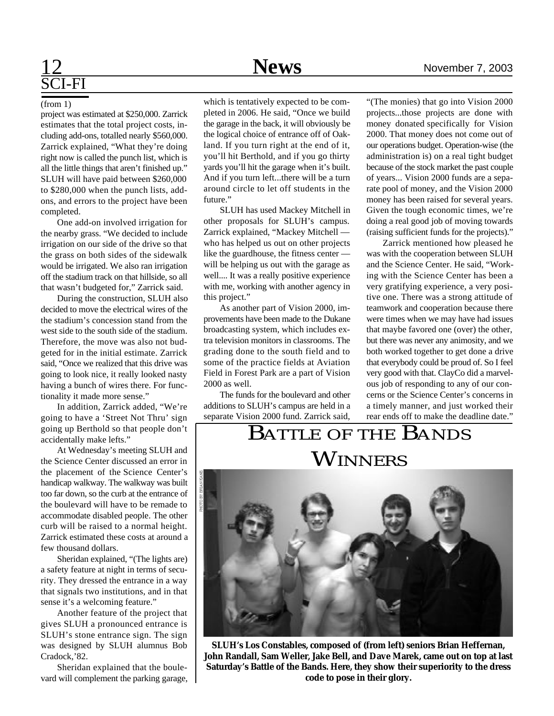# SCI-FI

#### (from 1)

project was estimated at \$250,000. Zarrick estimates that the total project costs, including add-ons, totalled nearly \$560,000. Zarrick explained, "What they're doing right now is called the punch list, which is all the little things that aren't finished up." SLUH will have paid between \$260,000 to \$280,000 when the punch lists, addons, and errors to the project have been completed.

One add-on involved irrigation for the nearby grass. "We decided to include irrigation on our side of the drive so that the grass on both sides of the sidewalk would be irrigated. We also ran irrigation off the stadium track on that hillside, so all that wasn't budgeted for," Zarrick said.

During the construction, SLUH also decided to move the electrical wires of the the stadium's concession stand from the west side to the south side of the stadium. Therefore, the move was also not budgeted for in the initial estimate. Zarrick said, "Once we realized that this drive was going to look nice, it really looked nasty having a bunch of wires there. For functionality it made more sense."

In addition, Zarrick added, "We're going to have a 'Street Not Thru' sign going up Berthold so that people don't accidentally make lefts."

At Wednesday's meeting SLUH and the Science Center discussed an error in the placement of the Science Center's handicap walkway. The walkway was built too far down, so the curb at the entrance of the boulevard will have to be remade to accommodate disabled people. The other curb will be raised to a normal height. Zarrick estimated these costs at around a few thousand dollars.

Sheridan explained, "(The lights are) a safety feature at night in terms of security. They dressed the entrance in a way that signals two institutions, and in that sense it's a welcoming feature."

Another feature of the project that gives SLUH a pronounced entrance is SLUH's stone entrance sign. The sign was designed by SLUH alumnus Bob Cradock,'82.

Sheridan explained that the boulevard will complement the parking garage,

which is tentatively expected to be completed in 2006. He said, "Once we build the garage in the back, it will obviously be the logical choice of entrance off of Oakland. If you turn right at the end of it, you'll hit Berthold, and if you go thirty yards you'll hit the garage when it's built. And if you turn left...there will be a turn around circle to let off students in the future."

SLUH has used Mackey Mitchell in other proposals for SLUH's campus. Zarrick explained, "Mackey Mitchell who has helped us out on other projects like the guardhouse, the fitness center will be helping us out with the garage as well.... It was a really positive experience with me, working with another agency in this project."

As another part of Vision 2000, improvements have been made to the Dukane broadcasting system, which includes extra television monitors in classrooms. The grading done to the south field and to some of the practice fields at Aviation Field in Forest Park are a part of Vision 2000 as well.

The funds for the boulevard and other additions to SLUH's campus are held in a separate Vision 2000 fund. Zarrick said,

"(The monies) that go into Vision 2000 projects...those projects are done with money donated specifically for Vision 2000. That money does not come out of our operations budget. Operation-wise (the administration is) on a real tight budget because of the stock market the past couple of years... Vision 2000 funds are a separate pool of money, and the Vision 2000 money has been raised for several years. Given the tough economic times, we're doing a real good job of moving towards (raising sufficient funds for the projects)."

Zarrick mentioned how pleased he was with the cooperation between SLUH and the Science Center. He said, "Working with the Science Center has been a very gratifying experience, a very positive one. There was a strong attitude of teamwork and cooperation because there were times when we may have had issues that maybe favored one (over) the other, but there was never any animosity, and we both worked together to get done a drive that everybody could be proud of. So I feel very good with that. ClayCo did a marvelcerns or the Science Center's concerns in a timely manner, and just worked their rear ends off to make the deadline date."

### BATTLE OF THE BANDS **WINNERS**



ous job of responding to any of our con-

**SLUH's Los Constables, composed of (from left) seniors Brian Heffernan, John Randall, Sam Weller, Jake Bell, and Dave Marek, came out on top at last Saturday's Battle of the Bands. Here, they show their superiority to the dress code to pose in their glory.**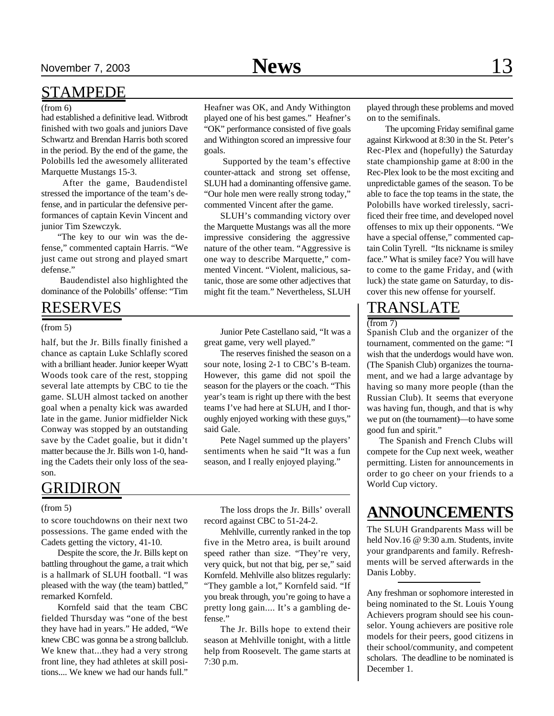#### (from 6)

had established a definitive lead. Witbrodt finished with two goals and juniors Dave Schwartz and Brendan Harris both scored in the period. By the end of the game, the Polobills led the awesomely alliterated Marquette Mustangs 15-3.

After the game, Baudendistel stressed the importance of the team's defense, and in particular the defensive performances of captain Kevin Vincent and junior Tim Szewczyk.

"The key to our win was the defense," commented captain Harris. "We just came out strong and played smart defense."

 Baudendistel also highlighted the dominance of the Polobills' offense: "Tim

#### RESERVES

#### (from 5)

half, but the Jr. Bills finally finished a chance as captain Luke Schlafly scored with a brilliant header. Junior keeper Wyatt Woods took care of the rest, stopping several late attempts by CBC to tie the game. SLUH almost tacked on another goal when a penalty kick was awarded late in the game. Junior midfielder Nick Conway was stopped by an outstanding save by the Cadet goalie, but it didn't matter because the Jr. Bills won 1-0, handing the Cadets their only loss of the season.

### GRIDIRON

#### (from 5)

to score touchdowns on their next two possessions. The game ended with the Cadets getting the victory, 41-10.

Despite the score, the Jr. Bills kept on battling throughout the game, a trait which is a hallmark of SLUH football. "I was pleased with the way (the team) battled," remarked Kornfeld.

Kornfeld said that the team CBC fielded Thursday was "one of the best they have had in years." He added, "We knew CBC was gonna be a strong ballclub. We knew that...they had a very strong front line, they had athletes at skill positions.... We knew we had our hands full."

Heafner was OK, and Andy Withington played one of his best games." Heafner's "OK" performance consisted of five goals and Withington scored an impressive four goals.

 Supported by the team's effective counter-attack and strong set offense, SLUH had a dominanting offensive game. "Our hole men were really strong today," commented Vincent after the game.

SLUH's commanding victory over the Marquette Mustangs was all the more impressive considering the aggressive nature of the other team. "Aggressive is one way to describe Marquette," commented Vincent. "Violent, malicious, satanic, those are some other adjectives that might fit the team." Nevertheless, SLUH

Junior Pete Castellano said, "It was a great game, very well played."

The reserves finished the season on a sour note, losing 2-1 to CBC's B-team. However, this game did not spoil the season for the players or the coach. "This year's team is right up there with the best teams I've had here at SLUH, and I thoroughly enjoyed working with these guys," said Gale.

Pete Nagel summed up the players' sentiments when he said "It was a fun season, and I really enjoyed playing."

The loss drops the Jr. Bills' overall record against CBC to 51-24-2.

Mehlville, currently ranked in the top five in the Metro area, is built around speed rather than size. "They're very, very quick, but not that big, per se," said Kornfeld. Mehlville also blitzes regularly: "They gamble a lot," Kornfeld said. "If you break through, you're going to have a pretty long gain.... It's a gambling defense."

The Jr. Bills hope to extend their season at Mehlville tonight, with a little help from Roosevelt. The game starts at 7:30 p.m.

played through these problems and moved on to the semifinals.

 The upcoming Friday semifinal game against Kirkwood at 8:30 in the St. Peter's Rec-Plex and (hopefully) the Saturday state championship game at 8:00 in the Rec-Plex look to be the most exciting and unpredictable games of the season. To be able to face the top teams in the state, the Polobills have worked tirelessly, sacrificed their free time, and developed novel offenses to mix up their opponents. "We have a special offense," commented captain Colin Tyrell. "Its nickname is smiley face." What is smiley face? You will have to come to the game Friday, and (with luck) the state game on Saturday, to discover this new offense for yourself.

### TRANSLATE

(from 7)

Spanish Club and the organizer of the tournament, commented on the game: "I wish that the underdogs would have won. (The Spanish Club) organizes the tournament, and we had a large advantage by having so many more people (than the Russian Club). It seems that everyone was having fun, though, and that is why we put on (the tournament)—to have some good fun and spirit."

 The Spanish and French Clubs will compete for the Cup next week, weather permitting. Listen for announcements in order to go cheer on your friends to a World Cup victory.

#### **ANNOUNCEMENTS**

The SLUH Grandparents Mass will be held Nov.16 @ 9:30 a.m. Students, invite your grandparents and family. Refreshments will be served afterwards in the Danis Lobby.

Any freshman or sophomore interested in being nominated to the St. Louis Young Achievers program should see his counselor. Young achievers are positive role models for their peers, good citizens in their school/community, and competent scholars. The deadline to be nominated is December 1.